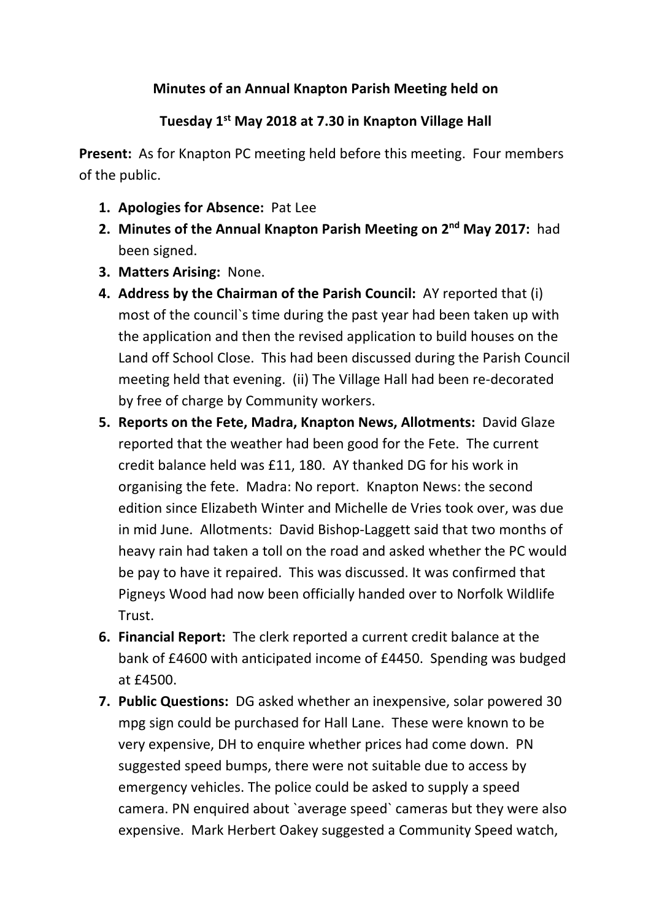## **Minutes of an Annual Knapton Parish Meeting held on**

## **Tuesday 1st May 2018 at 7.30 in Knapton Village Hall**

**Present:** As for Knapton PC meeting held before this meeting. Four members of the public.

- **1. Apologies for Absence:** Pat Lee
- **2. Minutes of the Annual Knapton Parish Meeting on 2nd May 2017:** had been signed.
- **3. Matters Arising:** None.
- **4. Address by the Chairman of the Parish Council:** AY reported that (i) most of the council`s time during the past year had been taken up with the application and then the revised application to build houses on the Land off School Close. This had been discussed during the Parish Council meeting held that evening. (ii) The Village Hall had been re-decorated by free of charge by Community workers.
- **5. Reports on the Fete, Madra, Knapton News, Allotments:** David Glaze reported that the weather had been good for the Fete. The current credit balance held was £11, 180. AY thanked DG for his work in organising the fete. Madra: No report. Knapton News: the second edition since Elizabeth Winter and Michelle de Vries took over, was due in mid June. Allotments: David Bishop-Laggett said that two months of heavy rain had taken a toll on the road and asked whether the PC would be pay to have it repaired. This was discussed. It was confirmed that Pigneys Wood had now been officially handed over to Norfolk Wildlife Trust.
- **6. Financial Report:** The clerk reported a current credit balance at the bank of £4600 with anticipated income of £4450. Spending was budged at £4500.
- **7. Public Questions:** DG asked whether an inexpensive, solar powered 30 mpg sign could be purchased for Hall Lane. These were known to be very expensive, DH to enquire whether prices had come down. PN suggested speed bumps, there were not suitable due to access by emergency vehicles. The police could be asked to supply a speed camera. PN enquired about `average speed` cameras but they were also expensive. Mark Herbert Oakey suggested a Community Speed watch,